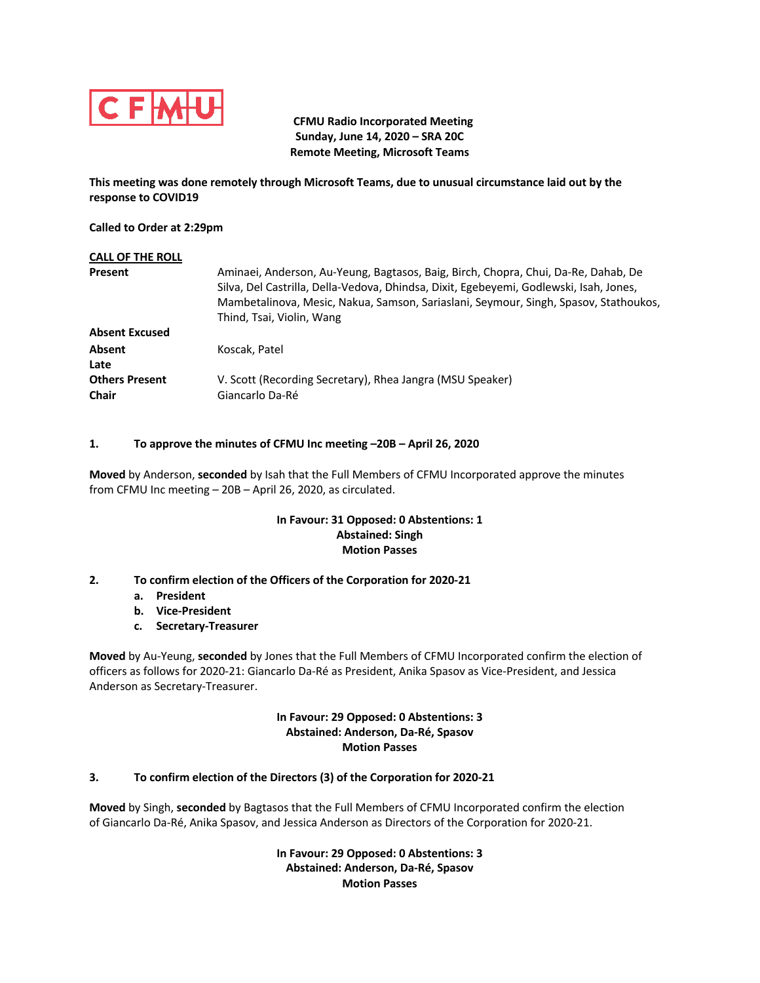

 **CFMU Radio Incorporated Meeting Sunday, June 14, 2020 – SRA 20C Remote Meeting, Microsoft Teams**

**This meeting was done remotely through Microsoft Teams, due to unusual circumstance laid out by the response to COVID19**

**Called to Order at 2:29pm**

| <b>CALL OF THE ROLL</b>               |                                                                                                                                                                                                                                                                                                   |
|---------------------------------------|---------------------------------------------------------------------------------------------------------------------------------------------------------------------------------------------------------------------------------------------------------------------------------------------------|
| <b>Present</b>                        | Aminaei, Anderson, Au-Yeung, Bagtasos, Baig, Birch, Chopra, Chui, Da-Re, Dahab, De<br>Silva, Del Castrilla, Della-Vedova, Dhindsa, Dixit, Egebeyemi, Godlewski, Isah, Jones,<br>Mambetalinova, Mesic, Nakua, Samson, Sariaslani, Seymour, Singh, Spasov, Stathoukos,<br>Thind, Tsai, Violin, Wang |
| <b>Absent Excused</b>                 |                                                                                                                                                                                                                                                                                                   |
| <b>Absent</b><br>Late                 | Koscak, Patel                                                                                                                                                                                                                                                                                     |
| <b>Others Present</b><br><b>Chair</b> | V. Scott (Recording Secretary), Rhea Jangra (MSU Speaker)<br>Giancarlo Da-Ré                                                                                                                                                                                                                      |

# **1. To approve the minutes of CFMU Inc meeting –20B – April 26, 2020**

**Moved** by Anderson, **seconded** by Isah that the Full Members of CFMU Incorporated approve the minutes from CFMU Inc meeting – 20B – April 26, 2020, as circulated.

## **In Favour: 31 Opposed: 0 Abstentions: 1 Abstained: Singh Motion Passes**

# **2. To confirm election of the Officers of the Corporation for 2020-21**

- **a. President**
- **b. Vice-President**
- **c. Secretary-Treasurer**

**Moved** by Au-Yeung, **seconded** by Jones that the Full Members of CFMU Incorporated confirm the election of officers as follows for 2020-21: Giancarlo Da-Ré as President, Anika Spasov as Vice-President, and Jessica Anderson as Secretary-Treasurer.

# **In Favour: 29 Opposed: 0 Abstentions: 3 Abstained: Anderson, Da-Ré, Spasov Motion Passes**

# **3. To confirm election of the Directors (3) of the Corporation for 2020-21**

**Moved** by Singh, **seconded** by Bagtasos that the Full Members of CFMU Incorporated confirm the election of Giancarlo Da-Ré, Anika Spasov, and Jessica Anderson as Directors of the Corporation for 2020-21.

> **In Favour: 29 Opposed: 0 Abstentions: 3 Abstained: Anderson, Da-Ré, Spasov Motion Passes**